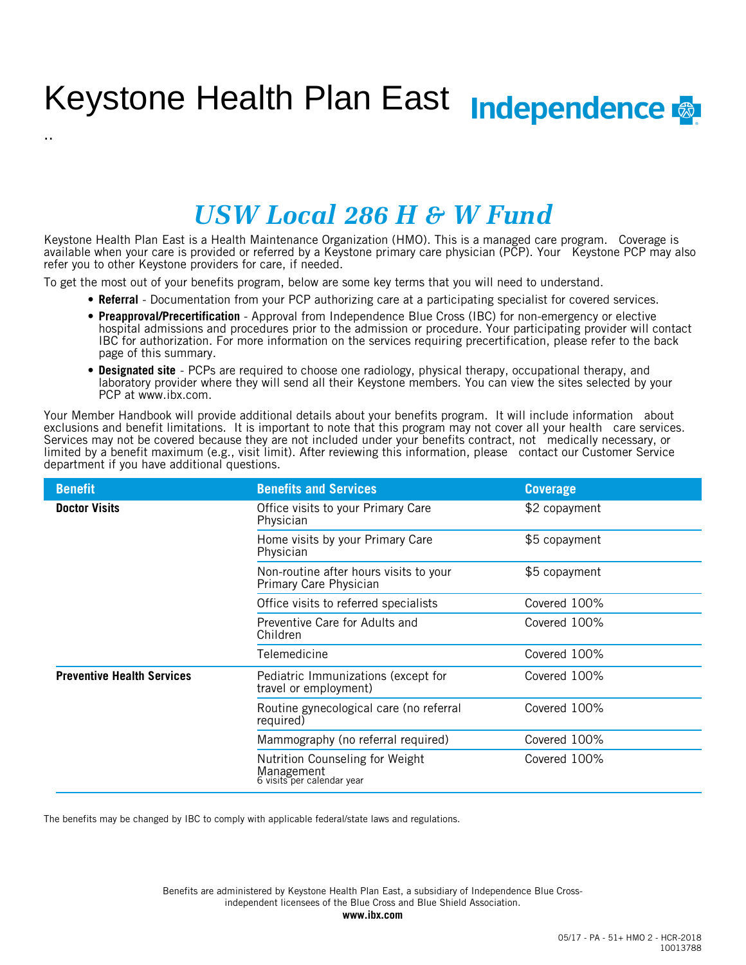# Keystone Health Plan East Independence

# *USW Local 286 H & W Fund*

Keystone Health Plan East is a Health Maintenance Organization (HMO). This is a managed care program. Coverage is available when your care is provided or referred by a Keystone primary care physician (PCP). Your Keystone PCP may also refer you to other Keystone providers for care, if needed.

To get the most out of your benefits program, below are some key terms that you will need to understand.

..

- **Referral** Documentation from your PCP authorizing care at a participating specialist for covered services.
- **Preapproval/Precertification** Approval from Independence Blue Cross (IBC) for non-emergency or elective hospital admissions and procedures prior to the admission or procedure. Your participating provider will contact IBC for authorization. For more information on the services requiring precertification, please refer to the back page of this summary.
- **Designated site** PCPs are required to choose one radiology, physical therapy, occupational therapy, and laboratory provider where they will send all their Keystone members. You can view the sites selected by your PCP at www.ibx.com.

Your Member Handbook will provide additional details about your benefits program. It will include information about exclusions and benefit limitations. It is important to note that this program may not cover all your health care services. Services may not be covered because they are not included under your benefits contract, not medically necessary, or limited by a benefit maximum (e.g., visit limit). After reviewing this information, please contact our Customer Service department if you have additional questions.

| <b>Benefit</b>                    | <b>Benefits and Services</b>                                                | <b>Coverage</b> |
|-----------------------------------|-----------------------------------------------------------------------------|-----------------|
| <b>Doctor Visits</b>              | Office visits to your Primary Care<br>Physician                             | \$2 copayment   |
|                                   | Home visits by your Primary Care<br>Physician                               | \$5 copayment   |
|                                   | Non-routine after hours visits to your<br>Primary Care Physician            | \$5 copayment   |
|                                   | Office visits to referred specialists                                       | Covered 100%    |
|                                   | Preventive Care for Adults and<br>Children                                  | Covered 100%    |
|                                   | Telemedicine                                                                | Covered 100%    |
| <b>Preventive Health Services</b> | Pediatric Immunizations (except for<br>travel or employment)                | Covered 100%    |
|                                   | Routine gynecological care (no referral<br>required)                        | Covered 100%    |
|                                   | Mammography (no referral required)                                          | Covered 100%    |
|                                   | Nutrition Counseling for Weight<br>Management<br>6 visits per calendar year | Covered 100%    |

The benefits may be changed by IBC to comply with applicable federal/state laws and regulations.

independent licensees of the Blue Cross and Blue Shield Association. Benefits are administered by Keystone Health Plan East, a subsidiary of Independence Blue Cross-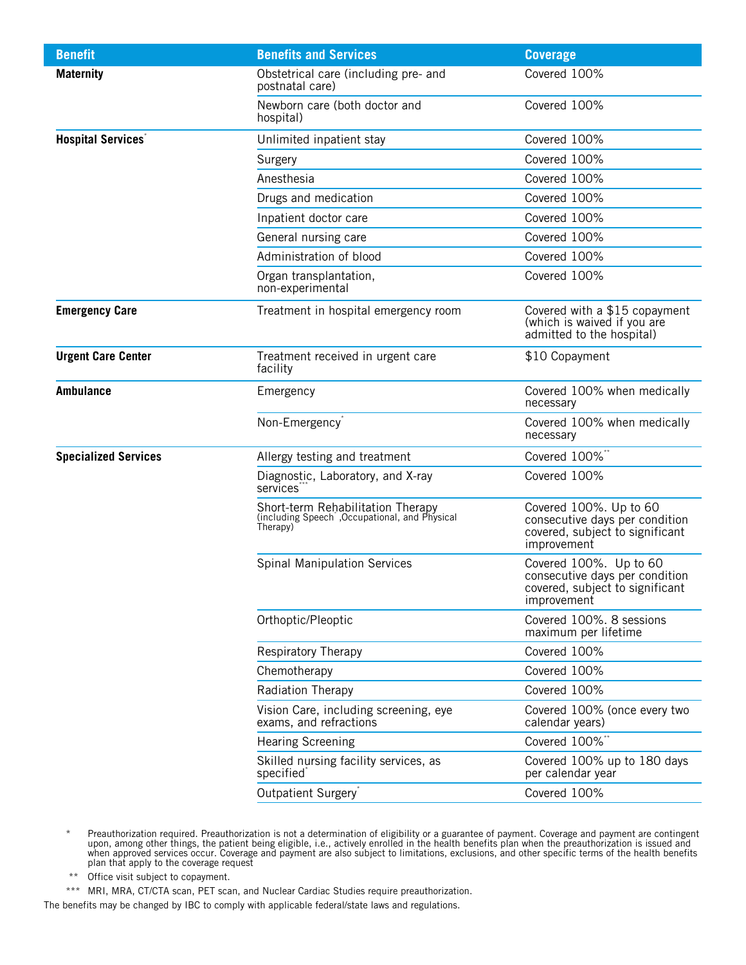| <b>Benefit</b>              | <b>Benefits and Services</b>                                                                    | <b>Coverage</b>                                                                                            |
|-----------------------------|-------------------------------------------------------------------------------------------------|------------------------------------------------------------------------------------------------------------|
| <b>Maternity</b>            | Obstetrical care (including pre- and<br>postnatal care)                                         | Covered 100%                                                                                               |
|                             | Newborn care (both doctor and<br>hospital)                                                      | Covered 100%                                                                                               |
| <b>Hospital Services</b> *  | Unlimited inpatient stay                                                                        | Covered 100%                                                                                               |
|                             | Surgery                                                                                         | Covered 100%                                                                                               |
|                             | Anesthesia                                                                                      | Covered 100%                                                                                               |
|                             | Drugs and medication                                                                            | Covered 100%                                                                                               |
|                             | Inpatient doctor care                                                                           | Covered 100%                                                                                               |
|                             | General nursing care                                                                            | Covered 100%                                                                                               |
|                             | Administration of blood                                                                         | Covered 100%                                                                                               |
|                             | Organ transplantation,<br>non-experimental                                                      | Covered 100%                                                                                               |
| <b>Emergency Care</b>       | Treatment in hospital emergency room                                                            | Covered with a \$15 copayment<br>(which is waived if you are<br>admitted to the hospital)                  |
| <b>Urgent Care Center</b>   | Treatment received in urgent care<br>\$10 Copayment<br>facility                                 |                                                                                                            |
| <b>Ambulance</b>            | Emergency                                                                                       | Covered 100% when medically<br>necessary                                                                   |
|                             | Non-Emergency <sup>*</sup>                                                                      | Covered 100% when medically<br>necessary                                                                   |
| <b>Specialized Services</b> | Allergy testing and treatment                                                                   | Covered 100%*                                                                                              |
|                             | Diagnostic, Laboratory, and X-ray<br>services <sup>®</sup>                                      | Covered 100%                                                                                               |
|                             | Short-term Rehabilitation Therapy<br>(including Speech , Occupational, and Physical<br>Therapy) | Covered 100%. Up to 60<br>consecutive days per condition<br>covered, subject to significant<br>improvement |
|                             | <b>Spinal Manipulation Services</b>                                                             | Covered 100%. Up to 60<br>consecutive days per condition<br>covered, subject to significant<br>improvement |
|                             | Orthoptic/Pleoptic                                                                              | Covered 100%, 8 sessions<br>maximum per lifetime                                                           |
|                             | <b>Respiratory Therapy</b>                                                                      | Covered 100%                                                                                               |
|                             | Chemotherapy                                                                                    | Covered 100%                                                                                               |
|                             | Radiation Therapy                                                                               | Covered 100%                                                                                               |
|                             | Vision Care, including screening, eye<br>exams, and refractions                                 | Covered 100% (once every two<br>calendar years)                                                            |
|                             | <b>Hearing Screening</b>                                                                        | Covered 100%**                                                                                             |
|                             | Skilled nursing facility services, as<br>specified <sup>®</sup>                                 | Covered 100% up to 180 days<br>per calendar year                                                           |
|                             | Outpatient Surgery <sup>®</sup>                                                                 | Covered 100%                                                                                               |

<sup>\*</sup> Preauthorization required. Preauthorization is not a determination of eligibility or a guarantee of payment. Coverage and payment are contingent upon, among other things, the patient being eligible, i.e., actively enrolled in the health benefits plan when the preauthorization is issued and when approved services occur. Coverage and payment are also subject to limitations, exclusions, and other specific terms of the health benefits plan that apply to the coverage request

- \*\* Office visit subject to copayment.
- \*\*\* MRI, MRA, CT/CTA scan, PET scan, and Nuclear Cardiac Studies require preauthorization.

The benefits may be changed by IBC to comply with applicable federal/state laws and regulations.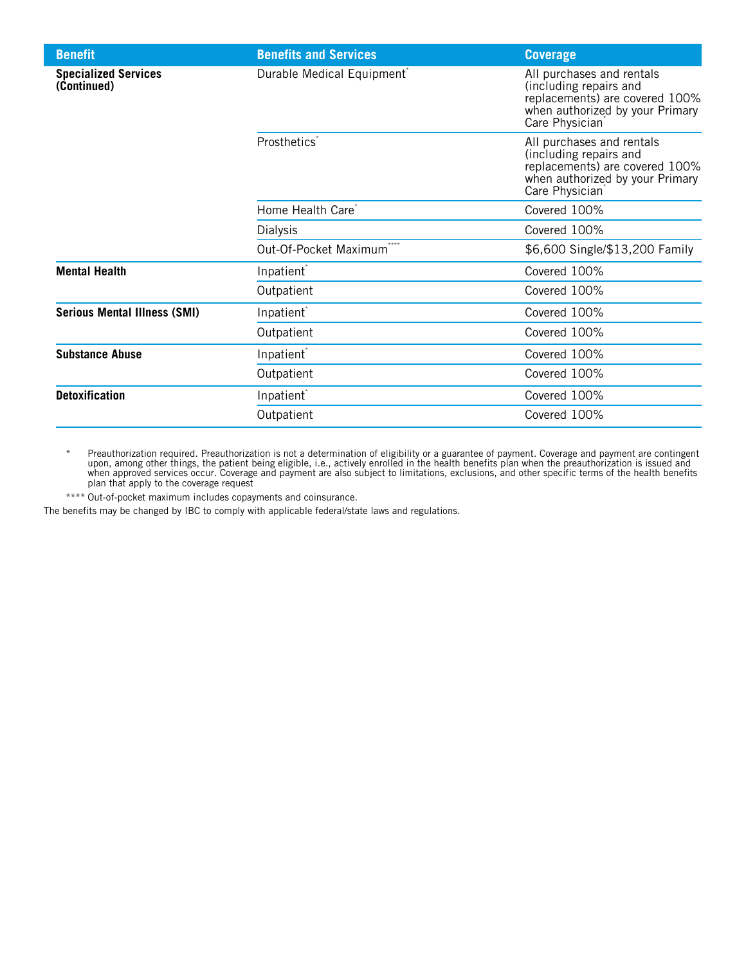| <b>Benefit</b>                             | <b>Benefits and Services</b>           | <b>Coverage</b>                                                                                                                                         |
|--------------------------------------------|----------------------------------------|---------------------------------------------------------------------------------------------------------------------------------------------------------|
| <b>Specialized Services</b><br>(Continued) | Durable Medical Equipment <sup>®</sup> | All purchases and rentals<br>(including repairs and<br>replacements) are covered 100%<br>when authorized by your Primary<br>Care Physician <sup>7</sup> |
|                                            | Prosthetics <sup>®</sup>               | All purchases and rentals<br>(including repairs and<br>replacements) are covered 100%<br>when authorized by your Primary<br>Care Physician <sup>7</sup> |
|                                            | Home Health Care <sup>®</sup>          | Covered 100%                                                                                                                                            |
|                                            | Dialysis                               | Covered 100%                                                                                                                                            |
|                                            | Out-Of-Pocket Maximum                  | \$6,600 Single/\$13,200 Family                                                                                                                          |
| <b>Mental Health</b>                       | Inpatient <sup>®</sup>                 | Covered 100%                                                                                                                                            |
|                                            | Outpatient                             | Covered 100%                                                                                                                                            |
| <b>Serious Mental Illness (SMI)</b>        | Inpatient <sup>*</sup>                 | Covered 100%                                                                                                                                            |
|                                            | Outpatient                             | Covered 100%                                                                                                                                            |
| <b>Substance Abuse</b>                     | Inpatient <sup>®</sup>                 | Covered 100%                                                                                                                                            |
|                                            | Outpatient                             | Covered 100%                                                                                                                                            |
| <b>Detoxification</b>                      | Inpatient <sup>®</sup>                 | Covered 100%                                                                                                                                            |
|                                            | Outpatient                             | Covered 100%                                                                                                                                            |

\* Preauthorization required. Preauthorization is not a determination of eligibility or a guarantee of payment. Coverage and payment are contingent upon, among other things, the patient being eligible, i.e., actively enrolled in the health benefits plan when the preauthorization is issued and when approved services occur. Coverage and payment are also subject to limitations, exclusions, and other specific terms of the health benefits plan that apply to the coverage request

\*\*\*\* Out-of-pocket maximum includes copayments and coinsurance.

The benefits may be changed by IBC to comply with applicable federal/state laws and regulations.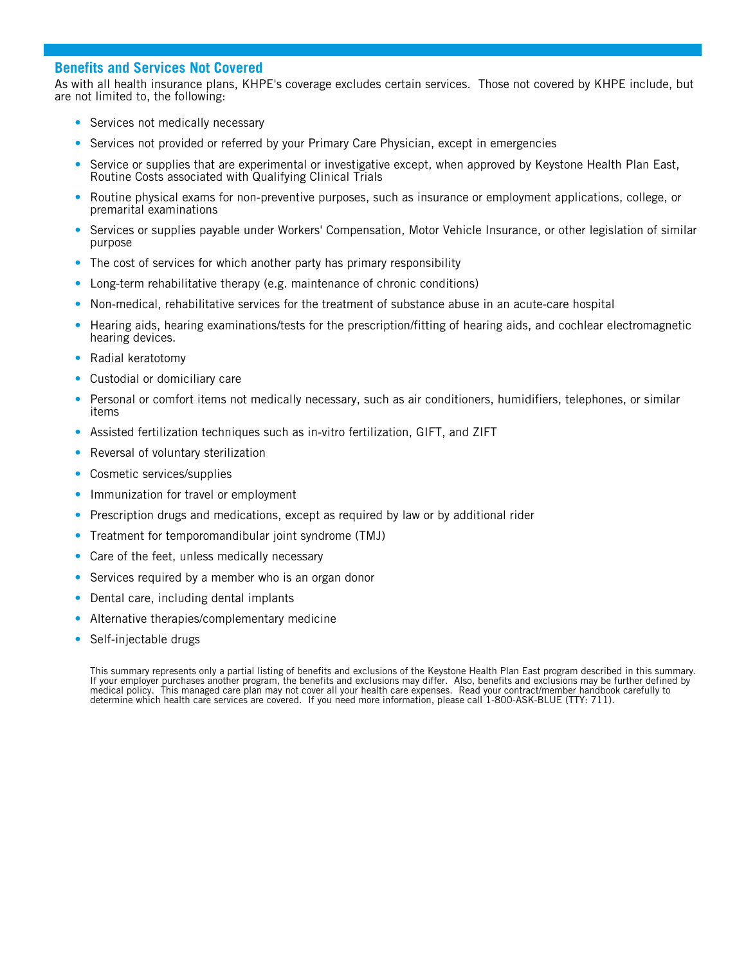#### **Benefits and Services Not Covered**

As with all health insurance plans, KHPE's coverage excludes certain services. Those not covered by KHPE include, but are not limited to, the following:

- Services not medically necessary
- Services not provided or referred by your Primary Care Physician, except in emergencies
- Service or supplies that are experimental or investigative except, when approved by Keystone Health Plan East, Routine Costs associated with Qualifying Clinical Trials
- Routine physical exams for non-preventive purposes, such as insurance or employment applications, college, or premarital examinations
- Services or supplies payable under Workers' Compensation, Motor Vehicle Insurance, or other legislation of similar purpose
- The cost of services for which another party has primary responsibility
- Long-term rehabilitative therapy (e.g. maintenance of chronic conditions)
- Non-medical, rehabilitative services for the treatment of substance abuse in an acute-care hospital
- Hearing aids, hearing examinations/tests for the prescription/fitting of hearing aids, and cochlear electromagnetic hearing devices.
- Radial keratotomy
- Custodial or domiciliary care
- Personal or comfort items not medically necessary, such as air conditioners, humidifiers, telephones, or similar items
- Assisted fertilization techniques such as in-vitro fertilization, GIFT, and ZIFT
- Reversal of voluntary sterilization
- Cosmetic services/supplies
- Immunization for travel or employment
- Prescription drugs and medications, except as required by law or by additional rider
- Treatment for temporomandibular joint syndrome (TMJ)
- Care of the feet, unless medically necessary
- Services required by a member who is an organ donor
- Dental care, including dental implants
- Alternative therapies/complementary medicine
- Self-injectable drugs

This summary represents only a partial listing of benefits and exclusions of the Keystone Health Plan East program described in this summary. If your employer purchases another program, the benefits and exclusions may differ. Also, benefits and exclusions may be further defined by medical policy. This managed care plan may not cover all your health care expenses. Read your contract/member handbook carefully to determine which health care services are covered. If you need more information, please call 1-800-ASK-BLUE (TTY: 711).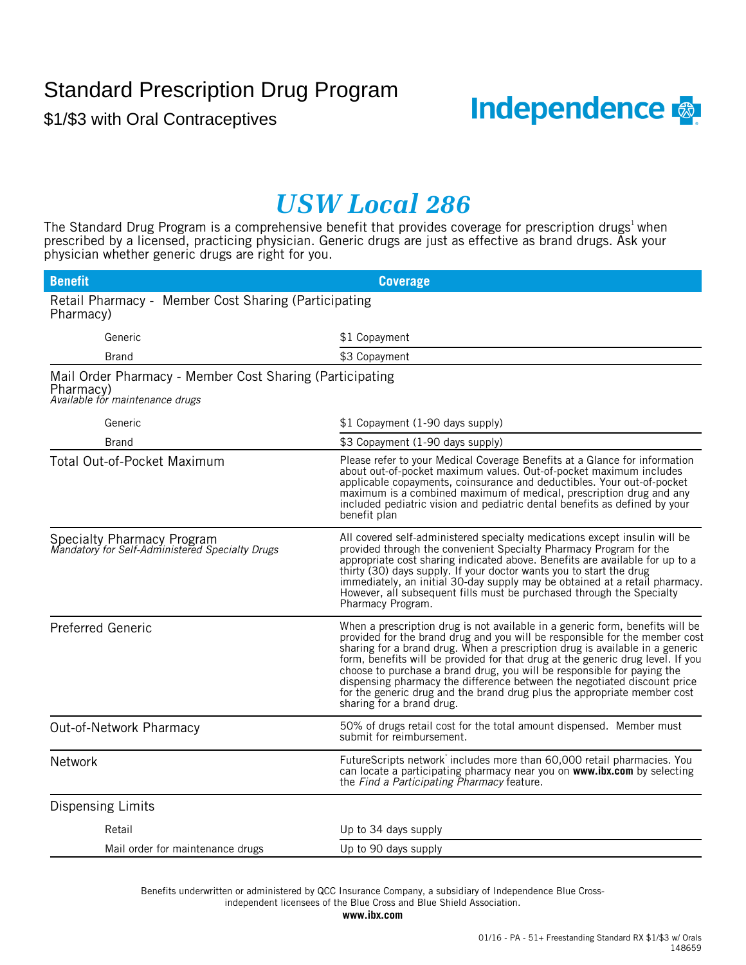## Standard Prescription Drug Program

\$1/\$3 with Oral Contraceptives



## *USW Local 286*

The Standard Drug Program is a comprehensive benefit that provides coverage for prescription drugs<sup>1</sup> when prescribed by a licensed, practicing physician. Generic drugs are just as effective as brand drugs. Ask your physician whether generic drugs are right for you.

| <b>Benefit</b>                                                                                           | <b>Coverage</b>                                                                                                                                                                                                                                                                                                                                                                                                                                                                                                                                                                                 |
|----------------------------------------------------------------------------------------------------------|-------------------------------------------------------------------------------------------------------------------------------------------------------------------------------------------------------------------------------------------------------------------------------------------------------------------------------------------------------------------------------------------------------------------------------------------------------------------------------------------------------------------------------------------------------------------------------------------------|
| Retail Pharmacy - Member Cost Sharing (Participating<br>Pharmacy)                                        |                                                                                                                                                                                                                                                                                                                                                                                                                                                                                                                                                                                                 |
| Generic                                                                                                  | \$1 Copayment                                                                                                                                                                                                                                                                                                                                                                                                                                                                                                                                                                                   |
| <b>Brand</b>                                                                                             | \$3 Copayment                                                                                                                                                                                                                                                                                                                                                                                                                                                                                                                                                                                   |
| Mail Order Pharmacy - Member Cost Sharing (Participating<br>Pharmacy)<br>Available for maintenance drugs |                                                                                                                                                                                                                                                                                                                                                                                                                                                                                                                                                                                                 |
| Generic                                                                                                  | \$1 Copayment (1-90 days supply)                                                                                                                                                                                                                                                                                                                                                                                                                                                                                                                                                                |
| <b>Brand</b>                                                                                             | \$3 Copayment (1-90 days supply)                                                                                                                                                                                                                                                                                                                                                                                                                                                                                                                                                                |
| Total Out-of-Pocket Maximum                                                                              | Please refer to your Medical Coverage Benefits at a Glance for information<br>about out-of-pocket maximum values. Out-of-pocket maximum includes<br>applicable copayments, coinsurance and deductibles. Your out-of-pocket<br>maximum is a combined maximum of medical, prescription drug and any<br>included pediatric vision and pediatric dental benefits as defined by your<br>benefit plan                                                                                                                                                                                                 |
| <b>Specialty Pharmacy Program</b><br>Mandatory for Self-Administered Specialty Drugs                     | All covered self-administered specialty medications except insulin will be<br>provided through the convenient Specialty Pharmacy Program for the<br>appropriate cost sharing indicated above. Benefits are available for up to a<br>thirty (30) days supply. If your doctor wants you to start the drug<br>immediately, an initial 30-day supply may be obtained at a retail pharmacy.<br>However, all subsequent fills must be purchased through the Specialty<br>Pharmacy Program.                                                                                                            |
| <b>Preferred Generic</b>                                                                                 | When a prescription drug is not available in a generic form, benefits will be<br>provided for the brand drug and you will be responsible for the member cost<br>sharing for a brand drug. When a prescription drug is available in a generic<br>form, benefits will be provided for that drug at the generic drug level. If you<br>choose to purchase a brand drug, you will be responsible for paying the<br>dispensing pharmacy the difference between the negotiated discount price<br>for the generic drug and the brand drug plus the appropriate member cost<br>sharing for a brand drug. |
| Out-of-Network Pharmacy                                                                                  | 50% of drugs retail cost for the total amount dispensed. Member must<br>submit for reimbursement.                                                                                                                                                                                                                                                                                                                                                                                                                                                                                               |
| <b>Network</b>                                                                                           | FutureScripts network includes more than 60,000 retail pharmacies. You<br>can locate a participating pharmacy near you on www.ibx.com by selecting<br>the Find a Participating Pharmacy feature.                                                                                                                                                                                                                                                                                                                                                                                                |
| Dispensing Limits                                                                                        |                                                                                                                                                                                                                                                                                                                                                                                                                                                                                                                                                                                                 |
| Retail                                                                                                   | Up to 34 days supply                                                                                                                                                                                                                                                                                                                                                                                                                                                                                                                                                                            |
| Mail order for maintenance drugs                                                                         | Up to 90 days supply                                                                                                                                                                                                                                                                                                                                                                                                                                                                                                                                                                            |

independent licensees of the Blue Cross and Blue Shield Association. Benefits underwritten or administered by QCC Insurance Company, a subsidiary of Independence Blue Cross-

**www.ibx.com**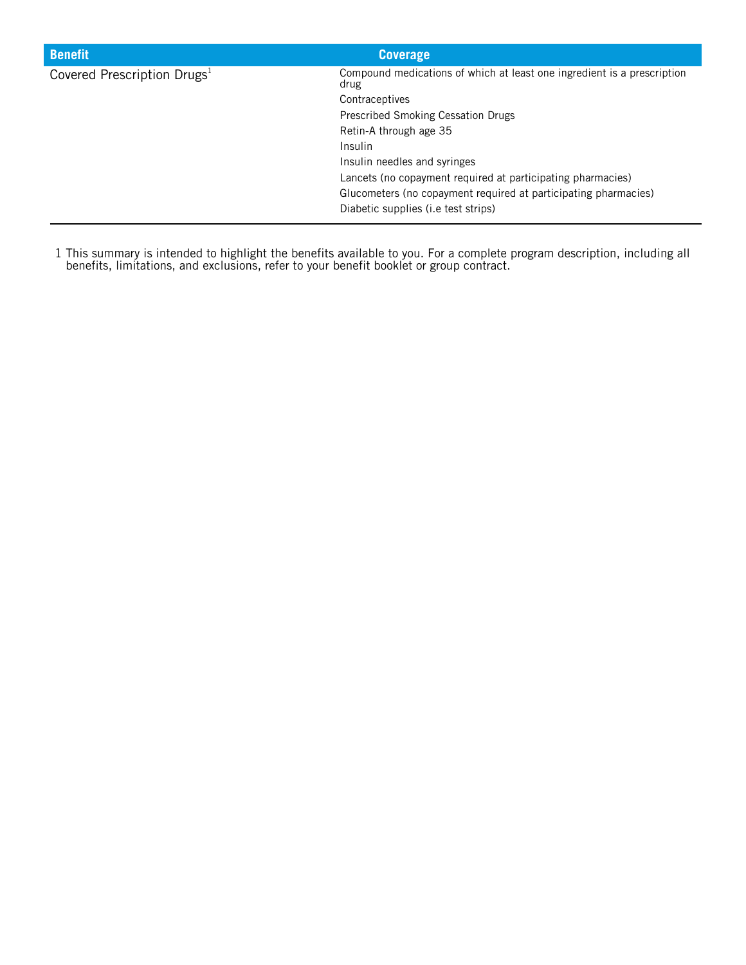| <b>Benefit</b>                          | <b>Coverage</b>                                                                 |
|-----------------------------------------|---------------------------------------------------------------------------------|
| Covered Prescription Drugs <sup>1</sup> | Compound medications of which at least one ingredient is a prescription<br>drug |
|                                         | Contraceptives                                                                  |
|                                         | Prescribed Smoking Cessation Drugs                                              |
|                                         | Retin-A through age 35                                                          |
|                                         | Insulin                                                                         |
|                                         | Insulin needles and syringes                                                    |
|                                         | Lancets (no copayment required at participating pharmacies)                     |
|                                         | Glucometers (no copayment required at participating pharmacies)                 |
|                                         | Diabetic supplies (i.e test strips)                                             |

1 This summary is intended to highlight the benefits available to you. For a complete program description, including all benefits, limitations, and exclusions, refer to your benefit booklet or group contract.